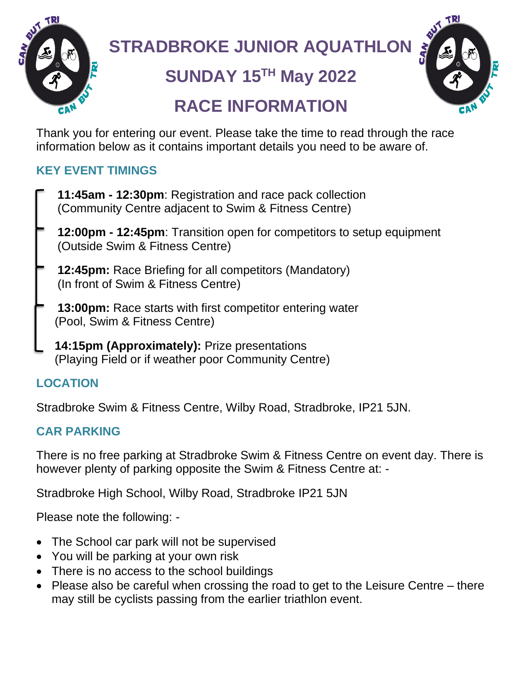

# **STRADBROKE JUNIOR AQUATHLON**

# **SUNDAY 15TH May 2022**



## **RACE INFORMATION**

Thank you for entering our event. Please take the time to read through the race information below as it contains important details you need to be aware of.

## **KEY EVENT TIMINGS**

- **11:45am - 12:30pm**: Registration and race pack collection (Community Centre adjacent to Swim & Fitness Centre)
- **12:00pm - 12:45pm**: Transition open for competitors to setup equipment (Outside Swim & Fitness Centre)
- **12:45pm:** Race Briefing for all competitors (Mandatory) (In front of Swim & Fitness Centre)
- **13:00pm:** Race starts with first competitor entering water (Pool, Swim & Fitness Centre)
	- **14:15pm (Approximately):** Prize presentations (Playing Field or if weather poor Community Centre)

## **LOCATION**

Stradbroke Swim & Fitness Centre, Wilby Road, Stradbroke, IP21 5JN.

## **CAR PARKING**

There is no free parking at Stradbroke Swim & Fitness Centre on event day. There is however plenty of parking opposite the Swim & Fitness Centre at: -

Stradbroke High School, Wilby Road, Stradbroke IP21 5JN

Please note the following: -

- The School car park will not be supervised
- You will be parking at your own risk
- There is no access to the school buildings
- Please also be careful when crossing the road to get to the Leisure Centre there may still be cyclists passing from the earlier triathlon event.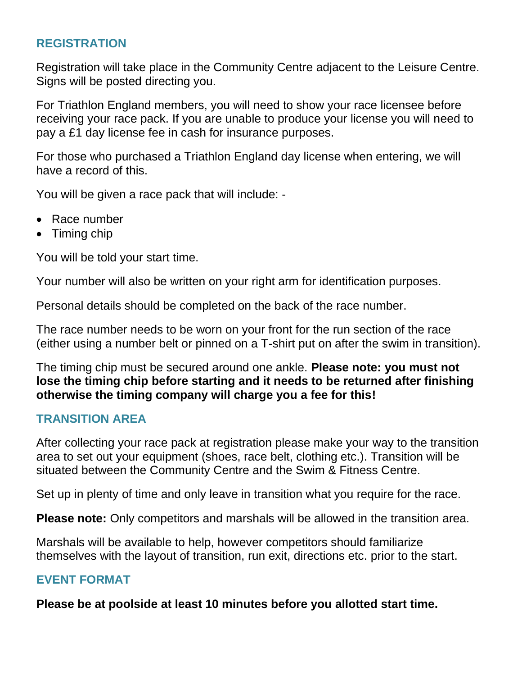#### **REGISTRATION**

Registration will take place in the Community Centre adjacent to the Leisure Centre. Signs will be posted directing you.

For Triathlon England members, you will need to show your race licensee before receiving your race pack. If you are unable to produce your license you will need to pay a £1 day license fee in cash for insurance purposes.

For those who purchased a Triathlon England day license when entering, we will have a record of this.

You will be given a race pack that will include: -

- Race number
- Timing chip

You will be told your start time.

Your number will also be written on your right arm for identification purposes.

Personal details should be completed on the back of the race number.

The race number needs to be worn on your front for the run section of the race (either using a number belt or pinned on a T-shirt put on after the swim in transition).

The timing chip must be secured around one ankle. **Please note: you must not lose the timing chip before starting and it needs to be returned after finishing otherwise the timing company will charge you a fee for this!**

## **TRANSITION AREA**

After collecting your race pack at registration please make your way to the transition area to set out your equipment (shoes, race belt, clothing etc.). Transition will be situated between the Community Centre and the Swim & Fitness Centre.

Set up in plenty of time and only leave in transition what you require for the race.

**Please note:** Only competitors and marshals will be allowed in the transition area.

Marshals will be available to help, however competitors should familiarize themselves with the layout of transition, run exit, directions etc. prior to the start.

#### **EVENT FORMAT**

**Please be at poolside at least 10 minutes before you allotted start time.**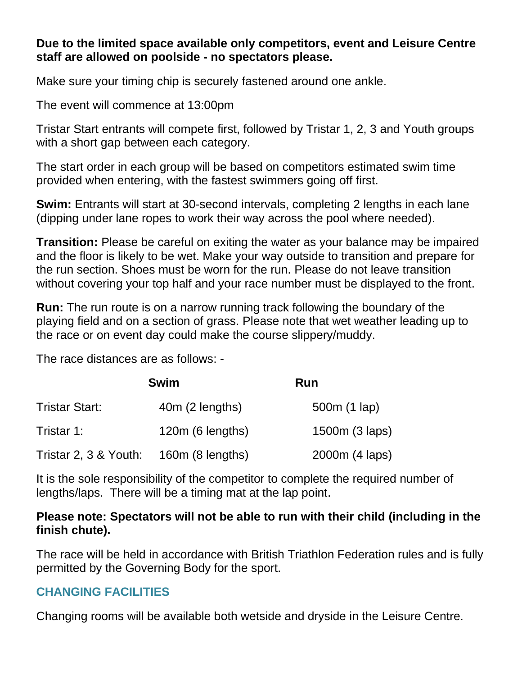#### **Due to the limited space available only competitors, event and Leisure Centre staff are allowed on poolside - no spectators please.**

Make sure your timing chip is securely fastened around one ankle.

The event will commence at 13:00pm

Tristar Start entrants will compete first, followed by Tristar 1, 2, 3 and Youth groups with a short gap between each category.

The start order in each group will be based on competitors estimated swim time provided when entering, with the fastest swimmers going off first.

**Swim:** Entrants will start at 30-second intervals, completing 2 lengths in each lane (dipping under lane ropes to work their way across the pool where needed).

**Transition:** Please be careful on exiting the water as your balance may be impaired and the floor is likely to be wet. Make your way outside to transition and prepare for the run section. Shoes must be worn for the run. Please do not leave transition without covering your top half and your race number must be displayed to the front.

**Run:** The run route is on a narrow running track following the boundary of the playing field and on a section of grass. Please note that wet weather leading up to the race or on event day could make the course slippery/muddy.

The race distances are as follows: -

| <b>Swim</b>           |                  | Run            |
|-----------------------|------------------|----------------|
| <b>Tristar Start:</b> | 40m (2 lengths)  | 500m (1 lap)   |
| Tristar 1:            | 120m (6 lengths) | 1500m (3 laps) |
| Tristar 2, 3 & Youth: | 160m (8 lengths) | 2000m (4 laps) |

It is the sole responsibility of the competitor to complete the required number of lengths/laps. There will be a timing mat at the lap point.

#### **Please note: Spectators will not be able to run with their child (including in the finish chute).**

The race will be held in accordance with British Triathlon Federation rules and is fully permitted by the Governing Body for the sport.

#### **CHANGING FACILITIES**

Changing rooms will be available both wetside and dryside in the Leisure Centre.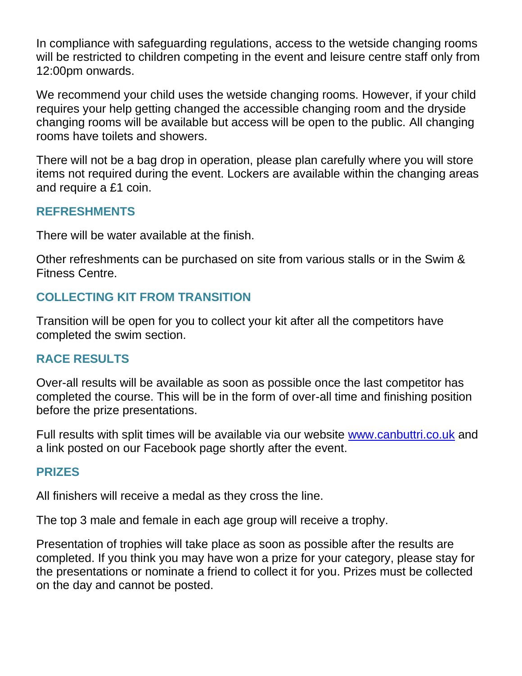In compliance with safeguarding regulations, access to the wetside changing rooms will be restricted to children competing in the event and leisure centre staff only from 12:00pm onwards.

We recommend your child uses the wetside changing rooms. However, if your child requires your help getting changed the accessible changing room and the dryside changing rooms will be available but access will be open to the public. All changing rooms have toilets and showers.

There will not be a bag drop in operation, please plan carefully where you will store items not required during the event. Lockers are available within the changing areas and require a £1 coin.

#### **REFRESHMENTS**

There will be water available at the finish.

Other refreshments can be purchased on site from various stalls or in the Swim & Fitness Centre.

#### **COLLECTING KIT FROM TRANSITION**

Transition will be open for you to collect your kit after all the competitors have completed the swim section.

#### **RACE RESULTS**

Over-all results will be available as soon as possible once the last competitor has completed the course. This will be in the form of over-all time and finishing position before the prize presentations.

Full results with split times will be available via our website [www.canbuttri.co.uk](http://www.canbuttri.co.uk/) and a link posted on our Facebook page shortly after the event.

#### **PRIZES**

All finishers will receive a medal as they cross the line.

The top 3 male and female in each age group will receive a trophy.

Presentation of trophies will take place as soon as possible after the results are completed. If you think you may have won a prize for your category, please stay for the presentations or nominate a friend to collect it for you. Prizes must be collected on the day and cannot be posted.